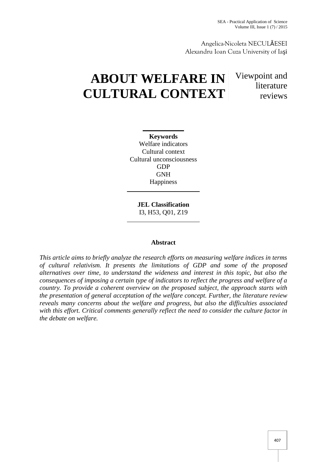SEA - Practical Application of Science Volume III, Issue 1 (7) / 2015

Angelica-Nicoleta NECULĂESEI Alexandru Ioan Cuza University of Ia i

# **ABOUT WELFARE IN CULTURAL CONTEXT**

Viewpoint and literature reviews

**Keywords** Welfare indicators Cultural context Cultural unconsciousness GDP GNH **Happiness** 

**JEL Classification** I3, H53, Q01, Z19

# **Abstract**

*This article aims to briefly analyze the research efforts on measuring welfare indices in terms of cultural relativism. It presents the limitations of GDP and some of the proposed alternatives over time, to understand the wideness and interest in this topic, but also the consequences of imposing a certain type of indicators to reflect the progress and welfare of a country. To provide a coherent overview on the proposed subject, the approach starts with the presentation of general acceptation of the welfare concept. Further, the literature review reveals many concerns about the welfare and progress, but also the difficulties associated with this effort. Critical comments generally reflect the need to consider the culture factor in the debate on welfare.*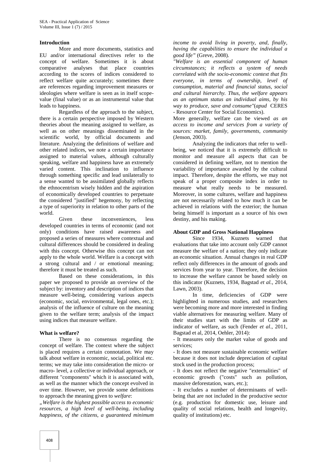#### **Introduction**

More and more documents, statistics and EU and/or international directives refer to the concept of welfare. Sometimes it is about comparative analyses that place countries according to the scores of indices considered to reflect welfare quite accurately; sometimes there are references regarding improvement measures or ideologies where welfare is seen as in itself scope value (final value) or as an instrumental value that leads to happiness.

Regardless of the approach to the subject, there is a certain perspective imposed by Western theories about the meaning assigned to welfare, as well as on other meanings disseminated in the scientific world, by official documents and literature. Analyzing the definitions of welfare and other related indices, we note a certain importance assigned to material values, although culturally speaking, welfare and happiness have an extremely varied content. This inclination to influence through something specific and lead unilaterally to a sense wanted to be assimilated globally reflects the ethnocentrism wisely hidden and the aspiration of economically developed countries to perpetuate the considered "justified" hegemony, by reflecting a type of superiority in relation to other parts of the world.

Given these inconveniences, less developed countries in terms of economic (and not only) conditions have raised awareness and proposed a series of measures where contextual and cultural differences should be considered in dealing with this concept. Otherwise this concept can not apply to the whole world. Welfare is a concept with a strong cultural and / or emotional meaning; therefore it must be treated as such.

Based on these considerations, in this paper we proposed to provide an overview of the subject by: inventory and description of indices that measure well-being, considering various aspects (economic, social, environmental, legal ones, etc.); analysis of the influence of culture on the meaning given to the welfare term; analysis of the impact using indices that measure welfare.

## **What is welfare?**

There is no consensus regarding the concept of welfare. The context where the subject is placed requires a certain connotation. We may talk about welfare in economic, social, political etc. terms; we may take into consideration the micro- or macro- level, a collective or individual approach, or different "components" which it is associated with, as well as the manner which the concept evolved in over time. However, we provide some definitions to approach the meaning given to *welfare*:

*"Welfare is the highest possible access to economic resources, a high level of well-being, including happiness, of the citizens, a guaranteed minimum*

*income to avoid living in poverty, and, finally, having the capabilities to ensure the individual a good life"* (Greve, 2008).

*"Welfare is an essential component of human circumstances; it reflects a system of needs correlated with the socio-economic context that fits everyone, in terms of ownership, level of consumption, material and financial status, social and cultural hierarchy. Thus, the welfare appears as an optimum status an individual aims, by his way to produce, save and consume"*(*apud* CERES - Resource Center for Social Economics).

More generally, welfare can be viewed *as an access to income and services from a variety of sources: market, family, governments, community* (Jenson, 2003).

Analyzing the indicators that refer to well being, we noticed that it is extremely difficult to monitor and measure all aspects that can be considered in defining welfare, not to mention the variability of importance awarded by the cultural impact. Therefore, despite the efforts, we may not speak of a proper composite index in order to measure what really needs to be measured. Moreover, in some cultures, welfare and happiness are not necessarily related to how much it can be achieved in relations with the exterior; the human being himself is important as a source of his own destiny, and his making.

#### **About GDP and Gross National Happiness**

Since 1934, Kuznets warned that evaluations that take into account only GDP cannot measure the welfare of a nation; they only indicate an economic situation. Annual changes in real GDP reflect only differences in the amount of goods and services from year to year. Therefore, the decision to increase the welfare cannot be based solely on this indicator (Kuznets, 1934, Bagstad *et al.*, 2014, Lawn, 2003).

In time, deficiencies of GDP were highlighted in numerous studies, and researchers were becoming more and more interested in finding viable alternatives for measuring welfare. Many of their studies start with the limits of GDP as indicator of welfare, as such (Fender *et al*., 2011, Bagstad et al, 2014, Oehler, 2014):

- It measures only the market value of goods and services;

- It does not measure sustainable economic welfare because it does not include depreciation of capital stock used in the production process;

- It does not reflect the negative "externalities" of economic growth ("costs" such as pollution, massive deforestation, wars, etc.);

- It excludes a number of determinants of well being that are not included in the productive sector (e.g. production for domestic use, leisure and quality of social relations, health and longevity, quality of institutions) etc.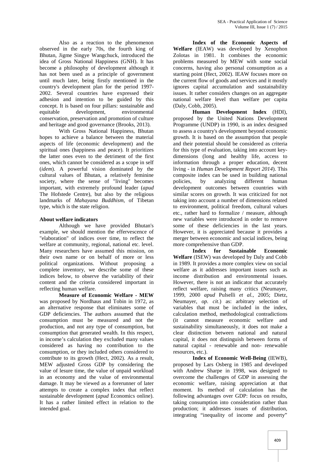Also as a reaction to the phenomenon observed in the early 70s, the fourth king of Bhutan, Jigme Singye Wangchuck, introduced the idea of Gross National Happiness (GNH). It has become a philosophy of development although it has not been used as a principle of government until much later, being firstly mentioned in the country's development plan for the period 1997- 2002. Several countries have expressed their adhesion and intention to be guided by this concept. It is based on four pillars: sustainable and equitable development, environmental conservation, preservation and promotion of culture and heritage and good governance (Brooks, 2013).

With Gross National Happiness, Bhutan hopes to achieve a balance between the material aspects of life (economic development) and the spiritual ones (happiness and peace). It prioritizes the latter ones even to the detriment of the first ones, which cannot be considered as a scope in self (*idem*). A powerful vision dominated by the cultural values of Bhutan, a relatively feminine society, where the sense of "living" becomes important, with extremely profound leader (*apud* The Hofstede Centre), but also by the religious landmarks of *Mahayana Buddhism*, of Tibetan type, which is the state religion.

# **About welfare indicators**

Although we have provided Bhutan's example, we should mention the effervescence of "elaboration" of indices over time, to reflect the welfare at community, regional, national etc. level. Many researchers have assumed this mission, on their own name or on behalf of more or less political organizations. Without proposing a complete inventory, we describe some of these indices below, to observe the variability of their content and the criteria considered important in reflecting human welfare.

**Measure of Economic Welfare - MEW** was proposed by Nordhaus and Tobin in 1972, as an alternative response that eliminates some of GDP deficiencies. The authors assumed that the consumption must be measured and not the production, and not any type of consumption, but consumption that generated wealth. In this respect, in income's calculation they excluded many values considered as having no contribution to the consumption, or they included others considered to contribute to its growth (Hect, 2002). As a result, MEW adjusted Gross GDP by considering the value of lesure time, the value of unpaid workload in an economy and the value of environmental damage. It may be viewed as a forerunner of later attempts to create a complex index that reflect sustainable development (*apud* Economics online). It has a rather limited effect in relation to the intended goal.

**Index of the Economic Aspects of Welfare** (IEAW) was developed by Xenophon Zolotas in 1981. It combines the economic problems measured by MEW with some social concerns, having also personal consumption as a starting point (Hect, 2002). IEAW focuses more on the current flow of goods and services and it mostly ignores capital accumulation and sustainability issues. It rather considers changes on an aggregate national welfare level than welfare per capita (Daly, Cobb, 2005).

**Human Development Index** (HDI), proposed by the United Nations Development Programme (UNDP) in 1990, is an index designed to assess a country's development beyond economic growth. It is based on the assumption that people and their potential should be considered as criteria for this type of evaluation, taking into account key dimensions (long and healthy life, access to information through a proper education, decent living - in *Human Development Report 2014*). This composite index can be used in building national policies, by analyzing different human development outcomes between countries with similar scores on growth. It was criticized for not taking into account a number of dimensions related to environment, political freedom, cultural values etc., rather hard to formalize / measure, although new variables were introduced in order to remove some of these deficiencies in the last years. However, it is appreciated because it provides a merger between economic and social indices, being more comprehensive than GDP.

**Index for Sustainable Economic Welfare** (ISEW) was developed by Daly and Cobb in 1989. It provides a more complex view on social welfare as it addresses important issues such as income distribution and environmental issues. However, there is not an indicator that accurately reflect welfare, raising many critics (Neumayer, 1999, 2000 *apud* Pulselli *et al.*, 2005; Dietz, Neumayer, *op. cit*.) as: arbitrary selection of variables that must be included in the index, calculation method, methodological contradictions (it cannot measure economic welfare and sustainability simultaneously, it does not make a clear distinction between national and natural capital, it does not distinguish between forms of natural capital - renewable and non- renewable resources, etc.).

**Index of Economic Well-Being** (IEWB), proposed by Lars Osberg in 1985 and developed with Andrew Sharpe in 1998, was designed to overcome the challenges of GDP in assessing the economic welfare, raising appreciation at that moment. Its method of calculation has the following advantages over GDP: focus on results, taking consumption into consideration rather than production; it addresses issues of distribution, integrating "inequality of income and poverty"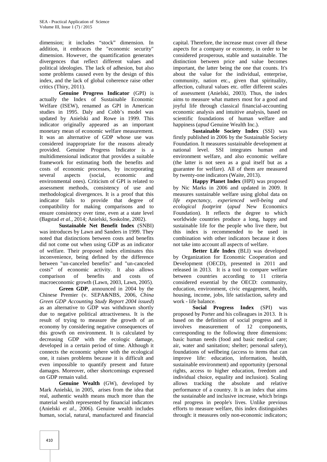dimension; it includes "stock" dimension. In addition, it embraces the "economic security" dimension. However, the quantification generates divergences that reflect different values and political ideologies. The lack of adhesion, but also some problems caused even by the design of this index, and the lack of global coherence raise other critics (Thiry, 2011).

**Genuine Progress Indicator** (GPI) is actually the Index of Sustainable Economic Welfare (ISEW), renamed as GPI in American studies in 1995. Daly and Cobb's model was updated by Anielski and Rowe in 1999. This indicator originally appeared as an important monetary mean of economic welfare measurement. It was an alternative of GDP whose use was considered inappropriate for the reasons already provided. Genuine Progress Indicator is a multidimensional indicator that provides a suitable framework for estimating both the benefits and costs of economic processes, by incorporating several aspects (social, economic and environmental ones). Criticism of GPI is related to assessment methods, consistency of use and methodological divergences. It is a proof that this indicator fails to provide that degree of compatibility for making comparisons and to ensure consistency over time, even at a state level (Bagstad *et al.*, 2014; Anielski, Soskolne, 2002).

**Sustainable Net Benefit Index** (SNBI) was introduces by Lawn and Sanders in 1999. They noted that distinctions between costs and benefits did not come out when using GDP as an indicator of welfare. Their proposed index eliminates this inconvenience, being defined by the difference between "un-canceled benefits" and "un-canceled costs" of economic activity. It also allows comparison of benefits and costs of macroeconomic growth (Lawn, 2003, Lawn, 2005).

**Green GDP**, announced in 2004 by the Chinese Premier (v. SEPA&NBS, 2006, *China Green GDP Accounting Study Report 2004 issued*) as an alternative to GDP was withdrawn shortly due to negative political attractiveness. It is the result of trying to measure the growth of an economy by considering negative consequences of this growth on environment. It is calculated by decreasing GDP with the ecologic damage, developed in a certain period of time. Although it connects the economic sphere with the ecological one, it raises problems because it is difficult and even impossible to quantify present and future damages. Moreover, other shortcomings expressed on GDP remain valid.

**Genuine Wealth** (GW), developed by Mark Anielski, in 2005, arises from the idea that real, authentic wealth means much more than the material wealth represented by financial indicators (Anielski *et al.*, 2006). Genuine wealth includes human, social, natural, manufactured and financial

capital. Therefore, the increase must cover all these aspects for a company or economy, in order to be considered prosperous, stable and sustainable. The distinction between price and value becomes important, the latter being the one that counts. It's about the value for the individual, enterprise, community, nation etc., given that spirituality, affection, cultural values etc. offer different scales of assessment (Anielski, 2003). Thus, the index aims to measure what matters most for a good and joyful life through classical financial-accounting economic analysis and intuitive analysis, based on scientific foundations of human welfare and happiness (*apud* Genuine Wealth Inc.).

**Sustainable Society Index** (SSI) was firstly published in 2006 by the Sustainable Society Foundation. It measures sustainable development at national level. SSI integrates human and environment welfare, and also economic welfare (the latter is not seen as a goal itself but as a guarantee for welfare). All of them are measured by twenty-one indicators (Waite, 2013).

**Happy Planet Index** (HPI) was proposed by Nic Marks in 2006 and updated in 2009. It measures sustainable welfare using global data on *life expectancy, experienced well-being and ecological footprint* (*apud* New Economics Foundation). It reflects the degree to which worldwide countries produce a long, happy and sustainable life for the people who live there, but this index is recommended to be used in combination with other indicators because it does not take into account all aspects of welfare.

**Better Life Index** (BLI) was developed by Organization for Economic Cooperation and Development (OECD), presented in 2011 and released in 2013. It is a tool to compare welfare between countries according to 11 criteria considered essential by the OECD: community, education, environment, civic engagement, health, housing, income, jobs, life satisfaction, safety and work - life balance.

**Social Progress Index** (SPI) was proposed by Porter and his colleagues in 2013. It is based on the definition of social progress and it involves measurement of 12 components, corresponding to the following three dimensions: basic human needs (food and basic medical care; air, water and sanitation; shelter; personal safety), foundations of wellbeing (access to items that can improve life: education, information, health, sustainable environment) and opportunity (personal rights, access to higher education, freedom and individual choice, equality and inclusion). Scaling allows tracking the absolute and relative performance of a country. It is an index that aims the sustainable and inclusive increase, which brings real progress in people's lives. Unlike previous efforts to measure welfare, this index distinguishes through: it measures only non-economic indicators;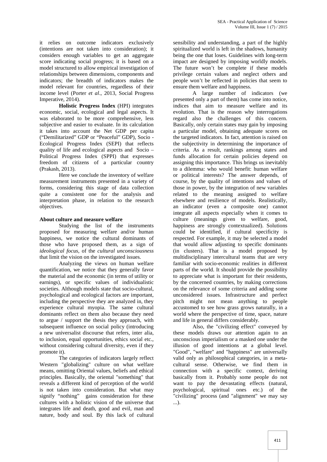it relies on outcome indicators exclusively (intentions are not taken into consideration); it considers enough variables to get an aggregate score indicating social progress; it is based on a model structured to allow empirical investigation of relationships between dimensions, components and indicators; the breadth of indicators makes the model relevant for countries, regardless of their income level (Porter *et al*., 2013, Social Progress Imperative, 2014).

**Holistic Progress Index** (HPI) integrates economic, social, ecological and legal aspects. It was elaborated to be more comprehensive, less subjective and easier to evaluate. In its calculation it takes into account the Net GDP per capita ("Demilitarized" GDP or "Peaceful" GDP), Socio - Ecological Progress Index (SEPI) that reflects quality of life and ecological aspects and Socio – Political Progress Index (SPPI) that expresses freedom of citizens of a particular country (Prakash, 2013).

Here we conclude the inventory of welfare measurement instruments presented in a variety of forms, considering this stage of data collection quite a consistent one for the analysis and interpretation phase, in relation to the research objectives.

## **About culture and measure welfare**

Studying the list of the instruments proposed for measuring welfare and/or human happiness, we notice the cultural dominants of those who have proposed them, as a sign of *ideological focus*, of the *cultural unconsciousness* that limit the vision on the investigated issues.

Analyzing the views on human welfare quantification, we notice that they generally favor the material and the economic (in terms of utility or earnings), or specific values of individualistic societies. Although models state that socio-cultural, psychological and ecological factors are important, including the perspective they are analyzed in, they experience cultural myopia. The same cultural dominants reflect on them also because they need to argue / support the thesis they approach, with subsequent influence on social policy (introducing a new universalist discourse that refers, inter alia, to inclusion, equal opportunities, ethics social etc., without considering cultural diversity, even if they promote it).

The categories of indicators largely reflect Western "globalizing" culture on what welfare means, omitting Oriental values, beliefs and ethical principles. Basically, the oriental "something" that reveals a different kind of perception of the world is not taken into consideration. But what may signify "nothing" gains consideration for these cultures with a holistic vision of the universe that integrates life and death, good and evil, man and nature, body and soul. By this lack of cultural

sensibility and understanding, a part of the highly spiritualized world is left in the shadows, humanity being the one that loses. Guidelines with long-term impact are designed by imposing worldly models. The future won't be complete if these models privilege certain values and neglect others and people won't be reflected in policies that seem to ensure them welfare and happiness.

A large number of indicators (we presented only a part of them) has come into notice, indices that aim to measure welfare and its evolution. That is the reason why interrogations regard also the challenges of this concern. Basically, only certain states may gain by imposing a particular model, obtaining adequate scores on the targeted indicators. In fact, attention is raised on the subjectivity in determining the importance of criteria. As a result, rankings among states and funds allocation for certain policies depend on assigning this importance. This brings us inevitably to a dilemma: who would benefit: human welfare or political interests? The answer depends, of course, by the quality of intentions and values of those in power, by the integration of new variables related to the meaning assigned to welfare elsewhere and resilience of models. Realistically, an indicator (even a composite one) cannot integrate all aspects especially when it comes to culture (meanings given to welfare, good, happiness are strongly contextualized). Solutions could be identified, if cultural specificity is respected. For example, it may be selected a model that would allow adjusting to specific dominants (in clusters). That is a model proposed by multidisciplinary intercultural teams that are very familiar with socio-economic realities in different parts of the world. It should provide the possibility to appreciate what is important for their residents, by the concerned countries, by making corrections on the relevance of some criteria and adding some unconsidered issues. Infrastructure and perfect pitch might not mean anything to people accustomed to see how grass grows naturally, in a world where the perspective of time, space, nature and life in general differs considerably.

Also, the "civilizing effect" conveyed by these models draws our attention again to an unconscious imperialism or a masked one under the illusion of good intentions at a global level. "Good", "welfare" and "happiness" are universally valid only as philosophical categories, in a meta cultural sense. Otherwise, we find them in connection with a specific context, deriving basically from it. Probably some people do not want to pay the devastating effects (natural, psychological, spiritual ones etc.) of the "civilizing" process (and "alignment" we may say ...).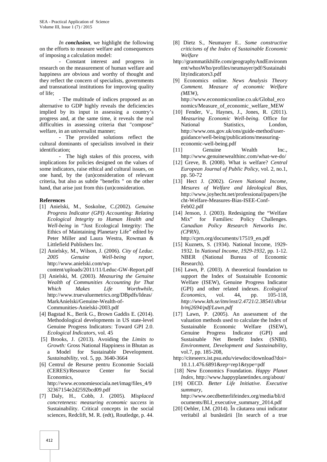*In conclusion*, we highlight the following on the efforts to measure welfare and consequences of imposing a calculation model:

- Constant interest and progress in research on the measurement of human welfare and happiness are obvious and worthy of thought and they reflect the concern of specialists, governments and transnational institutions for improving quality of life;

- The multitude of indices proposed as an alternative to GDP highly reveals the deficiencies implied by its input in assessing a country's progress and, at the same time, it reveals the real difficulties in assessing criteria that "compose" welfare, in an universalist manner;

- The provided solutions reflect the cultural dominants of specialists involved in their identification;

- The high stakes of this process, with implications for policies designed on the values of some indicators, raise ethical and cultural issues, on one hand, by the (un)consideration of relevant criteria, but also as subtle "benefits " on the other hand, that arise just from this (un)consideration.

## **References**

- [1] Anielski, M., Soskolne, C.(2002). *Genuine Progress Indicator (GPI) Accounting: Relating Ecological Integrity to Human Health and Well-being* in "Just Ecological Integrity: The Ethics of Maintaining Planetary Life" edited by Peter Miller and Laura Westra, Rowman & Littlefield Publishers Inc.
- [2] Anielsky, M., Wilson, J. (2006). *City of Leduc. 2005 Genuine Well-being report*, http://www.anielski.com/wp-
- content/uploads/2011/11/Leduc-GW-Report.pdf [3] Anielski, M. (2003). *Measuring the Genuine Wealth of Communities Accounting for That Which Makes Life Worthwhile*, http://www.truevaluemetrics.org/DBpdfs/Ideas/ MarkAnielski/Genuine-Wealth-of- Communities-Anielski-2003.pdf
- [4] Bagstad K., Berik G., Brown Gaddis E. (2014). Methodological developments in US state-level Genuine Progress Indicators: Toward GPI 2.0. *Ecological Indicators*, vol. 45
- [5] Brooks, J. (2013). Avoiding the *Limits to Growth:* Gross National Happiness in Bhutan as a Model for Sustainable Development. *Sustainability,* vol. 5, pp. 3640-3664
- [6] Centrul de Resurse pentru Economie Socială (CERES)/Resource Center for Social **Economics** http://www.economiesociala.net/imag/files\_4/9 32367154e2d2592bcd09.pdf
- [7] Daly, H., Cobb, J. (2005). *Misplaced concreteness: measuring economic success* in Sustainability. Critical concepts in the social sciences, Redclift, M. R. (edt), Routledge, p. 44.
- [8] Dietz S., Neumayer E.. *Some constructive criticisms of the Index of Sustainable Economic Welfare*
- http://grammatikhilfe.com/geographyAndEnvironm ent/whosWho/profiles/neumayer/pdf/Sustainabi lityindicators3.pdf
- [9] Economics online. *News Analysis Theory Comment. Measure of economic Welfare (MEW)*, http://www.economicsonline.co.uk/Global\_eco
- nomics/Measure\_of\_economic\_welfare\_MEW [10] Fender, V., Haynes, J., Jones, R. (2011). *Measuring Economic Well-being*. Office for National Statistics, London, http://www.ons.gov.uk/ons/guide-method/user guidance/well-being/publications/measuring economic-well-being.pdf
- [11] Genuine Wealth Inc., http://www.genuinewealthinc.com/what-we-do/
- [12] Greve, B. (2008). What is welfare? *Central European Journal of Public Policy*, vol. 2, no.1, pp. 50-72
- [13] Hect J. (2002). *Green National Income, Mesures of Welfare and Ideological Bias*, http://www.joyhecht.net/professional/papers/jhe cht-Welfare-Measures-Bias-ISEE-Conf- Feb02.pdf
- [14] Jenson, J. (2003). Redesigning the "Welfare Mix" for Families: Policy Challenges. *Canadian Policy Research Networks Inc. (CPRN)*,

http://cprn.org/documents/17519\_en.pdf

- [15] Kuznets, S. (1934). National Income, 1929-1932. In *National Income, 1929-1932*, pp. 1-12. NBER (National Bureau of Economic Research).
- [16] Lawn, P. (2003). A theoretical foundation to support the Index of Sustainable Economic Welfare (ISEW), Genuine Progress Indicator (GPI) and other related indexes. *Ecological Economics*, vol. 44, pp. 105-118, *http://www.kth.se/itm/inst/2.4721/2.38541/db/ut b/mj2694/pdf/Lawn.pdf*
- [17] Lawn, P. (2005). An assessment of the valuation methods used to calculate the Index of Sustainable Economic Welfare (ISEW), Genuine Progress Indicator (GPI) and Sustainable Net Benefit Index (SNBI). *Environment, Development and Sustainability*, vol.7, pp. 185-208,
- http://citeseerx.ist.psu.edu/viewdoc/download?doi= 10.1.1.476.6891&rep=rep1&type=pdf
- [18] New Economics Foundation. *Happy Planet Index*, http://www.happyplanetindex.org/about/
- [19] OECD. *Better Life Initiative. Executive summary*, http://www.oecdbetterlifeindex.org/media/bli/d ocuments/BLI\_executive\_summary\_2014.pdf
- $[20]$  Oehler, I.M.  $(2014)$ . În c utarea unui indicator veritabil al bun st rii [In search of a true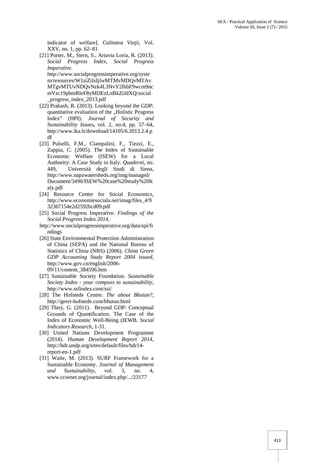indicator of welfare]. *Calitatea Vie ii*, Vol. XXV, no. 1, pp. 62–81

- [21] Porter, M., Stern, S., Artavia Loria, R. (2013). *Social Progress Index, Social Progress Imperative*. http://www.socialprogressimperative.org/syste m/resources/W1siZiIsIjIwMTMvMDQvMTAv MTgvMTUvNDQvNzk4L3NvY2lhbF9wcm9nc mVzc19pbmRleF8yMDEzLnBkZiJdXQ/social \_progress\_index\_2013.pdf
- [22] Prakash, R. (2013). Looking beyond the GDP: quantitative evaluation of the "Holistic Progress Index" (HPI). *Journal of Security and Sustainability Issues***,** vol. 2, no.4, pp. 57–64, http://www.lka.lt/download/14105/6.2013.2.4.p df
- [23] Pulselli, F.M., Ciampalini, F., Tiezzi, E., Zappia, C. (2005). The Index of Sustainable Economic Welfare (ISEW) for a Local Authority: A Case Study in Italy. *Quaderni*, no. 449, Università degli Studi di Siena, http://www.napawatersheds.org/img/managed/ Document/3490/ISEW%20case%20study%20It aly.pdf
- [24] Resource Center for Social Economics, http://www.economiesociala.net/imag/files\_4/9 32367154e2d2592bcd09.pdf
- [25] Social Progress Imperative. *Findings of the Social Progress Index 2014*,
- http://www.socialprogressimperative.org/data/spi/fi ndings
- [26] State Environmental Protection Administration of China (SEPA) and the National Bureau of Statistics of China (NBS) (2006). *China Green GDP Accounting Study Report 2004 issued*, http://www.gov.cn/english/2006- 09/11/content\_384596.htm
- [27] Sustainable Society Foundation. *Sustainable Society Index - your compass to sustainability*, http://www.ssfindex.com/ssi/
- [28] The Hofstede Centre. *The about Bhutan?*, http://geert-hofstede.com/bhutan.html
- [29] Thiry, G. (2011). Beyond GDP: Conceptual Grounds of Quantification. The Case of the Index of Economic Well-Being (IEWB. *Social Indicators Research*, 1-31.
- [30] United Nations Development Programme (2014). *Human Development Report 2014*, http://hdr.undp.org/sites/default/files/hdr14 report-en-1.pdf
- [31] Waite, M. (2013). SURF Framework for a Sustainable Economy. *Journal of Management and Sustainability*, vol. 3, no. 4, www.ccsenet.org/journal/index.php/.../23177